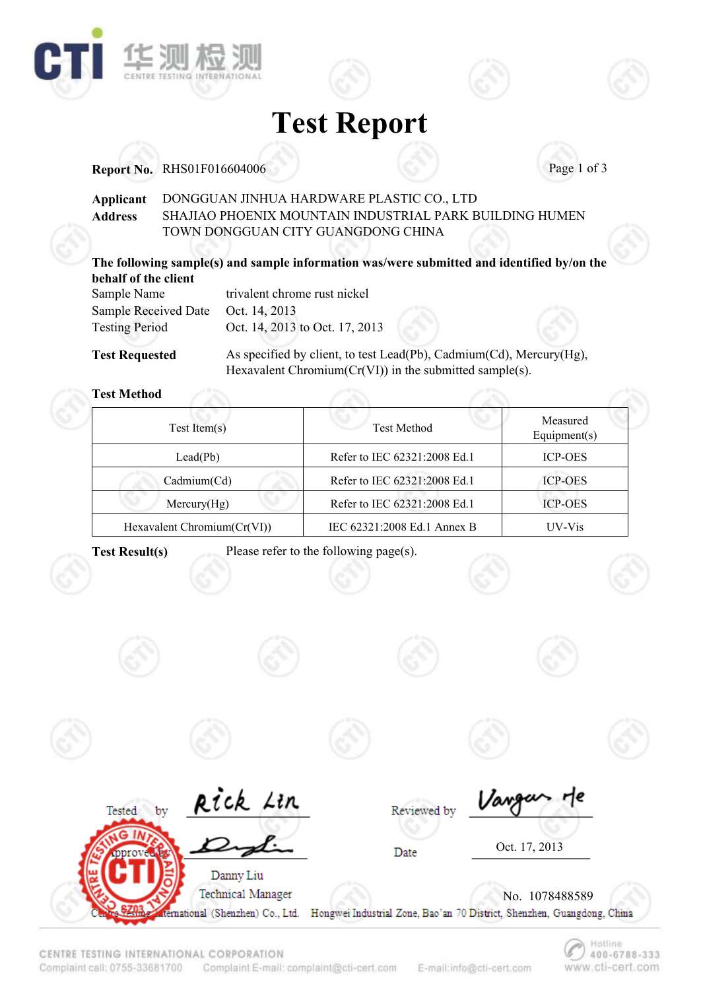

## **Test Report**

#### **Report No.** RHS01F016604006 **Page 1 of 3**

#### **Applicant** DONGGUAN JINHUA HARDWARE PLASTIC CO., LTD SHAJIAO PHOENIX MOUNTAIN INDUSTRIAL PARK BUILDING HUMEN TOWN DONGGUAN CITY GUANGDONG CHINA **Address**

#### **The following sample(s) and sample information was/were submitted and identified by/on the behalf of the client**

| Sample Name                 | trivalent chrome rust nickel   |
|-----------------------------|--------------------------------|
| <b>Sample Received Date</b> | Oct. 14, 2013                  |
| <b>Testing Period</b>       | Oct. 14, 2013 to Oct. 17, 2013 |

**Test Requested**

As specified by client, to test Lead(Pb), Cadmium(Cd), Mercury(Hg), Hexavalent Chromium(Cr(VI)) in the submitted sample(s).

#### **Test Method**

| $Test$ Item $(s)$              | <b>Test Method</b>           | Measured<br>Equipment $(s)$ |
|--------------------------------|------------------------------|-----------------------------|
| $\text{Lead}(\text{Pb})$       | Refer to IEC 62321:2008 Ed.1 | <b>ICP-OES</b>              |
| Cadmium(Cd)                    | Refer to IEC 62321:2008 Ed.1 | <b>ICP-OES</b>              |
| Mercury(Hg)                    | Refer to IEC 62321:2008 Ed.1 | <b>ICP-OES</b>              |
| Hexavalent Chromium $(Cr(VI))$ | IEC 62321:2008 Ed.1 Annex B  | UV-Vis                      |

**Tested** 

bv

**Test Result(s)** Please refer to the following page(s).



Rick Lin









Reviewed by

Hotline

www.cti-cert.com

400-6788-333



E-mail:info@cti-cert.com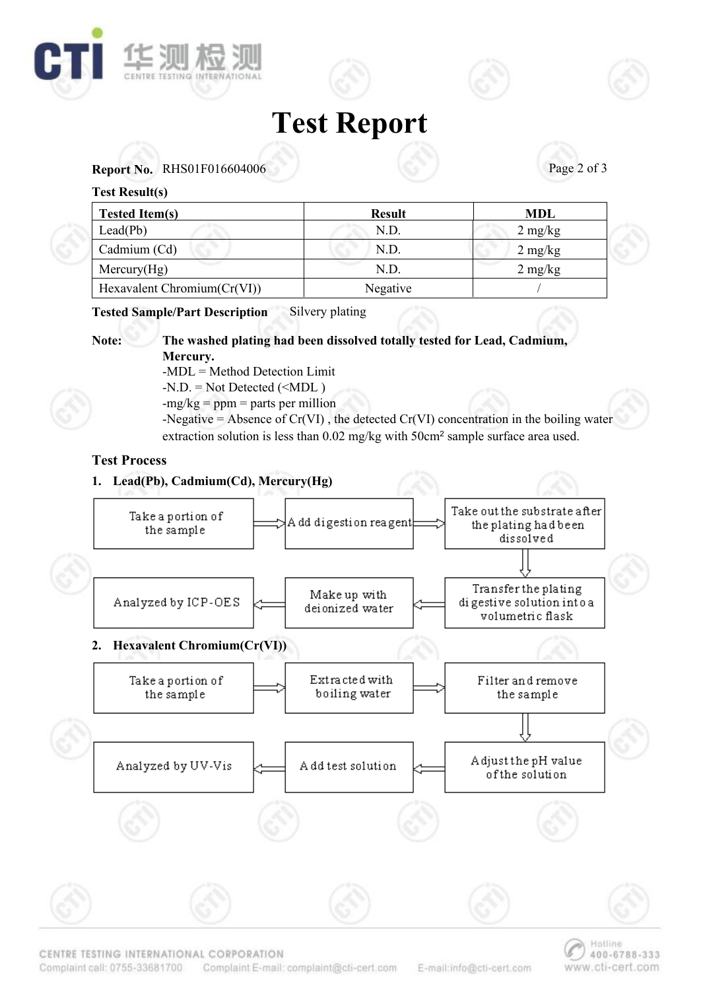





#### **Test Result(s)**

| <b>Tested Item(s)</b>       | <b>Result</b> | MDL               |
|-----------------------------|---------------|-------------------|
| Leaderb)                    | N.D.          | $2 \text{ mg/kg}$ |
| Cadmium (Cd)                | N.D.          | $2 \text{ mg/kg}$ |
| Mercury(Hg)                 | N.D           | $2 \text{ mg/kg}$ |
| Hexavalent Chromium(Cr(VI)) | Negative      |                   |

#### **Tested Sample/Part Description** Silvery plating



#### **Note: The washed plating had been dissolved totally tested for Lead, Cadmium, Mercury.** -MDL = Method Detection Limit

 $-N.D. = Not detected (**MDL**)$ 

 $-mg/kg = ppm = parts per million$ 

-Negative = Absence of Cr(VI) , the detected Cr(VI) concentration in the boiling water extraction solution is less than 0.02 mg/kg with 50cm2 sample surface area used.

### **Test Process**

### **1. Lead(Pb), Cadmium(Cd), Mercury(Hg)**



CENTRE TESTING INTERNATIONAL CORPORATION

Complaint call: 0755-33681700 Complaint E-mail: complaint@cti-cert.com

E-mail:info@cti-cert.com

Hotline

www.cti-cert.com

400-6788-333